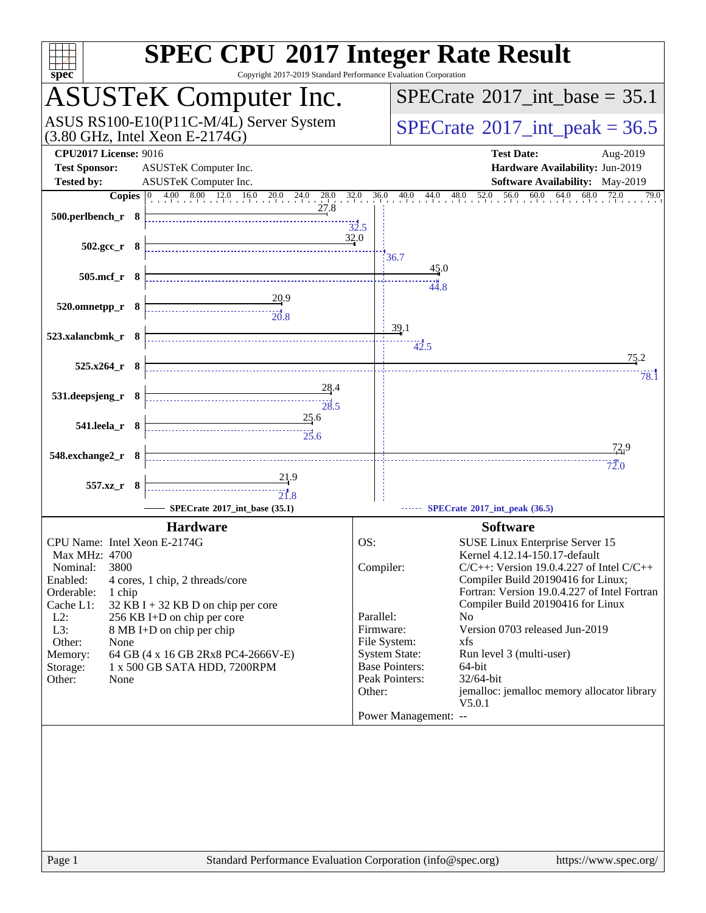| spec <sup>®</sup>                                                                                                                                                                                                                                                                                                                                                                                           | <b>SPEC CPU®2017 Integer Rate Result</b><br>Copyright 2017-2019 Standard Performance Evaluation Corporation                                                                                                                                                                                                                                                                                                                                                                                                                                                                            |
|-------------------------------------------------------------------------------------------------------------------------------------------------------------------------------------------------------------------------------------------------------------------------------------------------------------------------------------------------------------------------------------------------------------|----------------------------------------------------------------------------------------------------------------------------------------------------------------------------------------------------------------------------------------------------------------------------------------------------------------------------------------------------------------------------------------------------------------------------------------------------------------------------------------------------------------------------------------------------------------------------------------|
| <b>ASUSTeK Computer Inc.</b>                                                                                                                                                                                                                                                                                                                                                                                | $SPECTate$ <sup>®</sup> 2017_int_base = 35.1                                                                                                                                                                                                                                                                                                                                                                                                                                                                                                                                           |
| ASUS RS100-E10(P11C-M/4L) Server System<br>$(3.80 \text{ GHz}, \text{Intel Xeon E-2174G})$                                                                                                                                                                                                                                                                                                                  | $SPECTate@2017_int\_peak = 36.5$                                                                                                                                                                                                                                                                                                                                                                                                                                                                                                                                                       |
| <b>CPU2017 License: 9016</b><br>ASUSTeK Computer Inc.<br><b>Test Sponsor:</b>                                                                                                                                                                                                                                                                                                                               | <b>Test Date:</b><br>Aug-2019<br>Hardware Availability: Jun-2019                                                                                                                                                                                                                                                                                                                                                                                                                                                                                                                       |
| <b>Tested by:</b><br>ASUSTeK Computer Inc.                                                                                                                                                                                                                                                                                                                                                                  | Software Availability: May-2019<br>79.0                                                                                                                                                                                                                                                                                                                                                                                                                                                                                                                                                |
| $500.$ perlbench_r 8                                                                                                                                                                                                                                                                                                                                                                                        | 32.5                                                                                                                                                                                                                                                                                                                                                                                                                                                                                                                                                                                   |
| 502.gcc_r 8                                                                                                                                                                                                                                                                                                                                                                                                 | 32.0<br>36.7                                                                                                                                                                                                                                                                                                                                                                                                                                                                                                                                                                           |
| $505$ .mcf_r $8$                                                                                                                                                                                                                                                                                                                                                                                            | $\frac{45.0}{4}$<br>44.8                                                                                                                                                                                                                                                                                                                                                                                                                                                                                                                                                               |
| $\frac{20.9}{2}$<br>520.omnetpp_r 8                                                                                                                                                                                                                                                                                                                                                                         | 39.1                                                                                                                                                                                                                                                                                                                                                                                                                                                                                                                                                                                   |
| 523.xalancbmk_r 8                                                                                                                                                                                                                                                                                                                                                                                           | 42.5<br>75.2                                                                                                                                                                                                                                                                                                                                                                                                                                                                                                                                                                           |
| $525.x264$ r 8                                                                                                                                                                                                                                                                                                                                                                                              | 78.1                                                                                                                                                                                                                                                                                                                                                                                                                                                                                                                                                                                   |
| 28.4<br>531.deepsjeng_r 8                                                                                                                                                                                                                                                                                                                                                                                   |                                                                                                                                                                                                                                                                                                                                                                                                                                                                                                                                                                                        |
| 25.6<br>541.leela_r 8<br>$\begin{array}{c}\n\overbrace{\phantom{1}}\phantom{1}\phantom{1}\phantom{1}25.6\n\end{array}$                                                                                                                                                                                                                                                                                      |                                                                                                                                                                                                                                                                                                                                                                                                                                                                                                                                                                                        |
| 548.exchange2_r 8                                                                                                                                                                                                                                                                                                                                                                                           | 72.9                                                                                                                                                                                                                                                                                                                                                                                                                                                                                                                                                                                   |
| 21.9                                                                                                                                                                                                                                                                                                                                                                                                        | 72.0                                                                                                                                                                                                                                                                                                                                                                                                                                                                                                                                                                                   |
| 557.xz_r 8<br>$\begin{array}{c c c c} \hline \text{} & \text{} & \text{} \\ \hline \text{} & \text{} & \text{} \\ \hline \text{21.8} & & & \text{} \end{array}$                                                                                                                                                                                                                                             |                                                                                                                                                                                                                                                                                                                                                                                                                                                                                                                                                                                        |
| SPECrate®2017_int_base (35.1)                                                                                                                                                                                                                                                                                                                                                                               | SPECrate®2017_int_peak (36.5)                                                                                                                                                                                                                                                                                                                                                                                                                                                                                                                                                          |
| <b>Hardware</b>                                                                                                                                                                                                                                                                                                                                                                                             | <b>Software</b>                                                                                                                                                                                                                                                                                                                                                                                                                                                                                                                                                                        |
| CPU Name: Intel Xeon E-2174G<br>Max MHz: 4700<br>3800<br>Nominal:<br>Enabled:<br>4 cores, 1 chip, 2 threads/core<br>Orderable:<br>1 chip<br>Cache L1:<br>$32$ KB I + 32 KB D on chip per core<br>$L2$ :<br>256 KB I+D on chip per core<br>L3:<br>8 MB I+D on chip per chip<br>Other:<br>None<br>64 GB (4 x 16 GB 2Rx8 PC4-2666V-E)<br>Memory:<br>1 x 500 GB SATA HDD, 7200RPM<br>Storage:<br>Other:<br>None | OS:<br>SUSE Linux Enterprise Server 15<br>Kernel 4.12.14-150.17-default<br>Compiler:<br>$C/C++$ : Version 19.0.4.227 of Intel $C/C++$<br>Compiler Build 20190416 for Linux;<br>Fortran: Version 19.0.4.227 of Intel Fortran<br>Compiler Build 20190416 for Linux<br>Parallel:<br>N <sub>0</sub><br>Version 0703 released Jun-2019<br>Firmware:<br>File System:<br>xfs<br><b>System State:</b><br>Run level 3 (multi-user)<br><b>Base Pointers:</b><br>64-bit<br>Peak Pointers:<br>32/64-bit<br>jemalloc: jemalloc memory allocator library<br>Other:<br>V5.0.1<br>Power Management: -- |
| Page 1                                                                                                                                                                                                                                                                                                                                                                                                      | Standard Performance Evaluation Corporation (info@spec.org)<br>https://www.spec.org/                                                                                                                                                                                                                                                                                                                                                                                                                                                                                                   |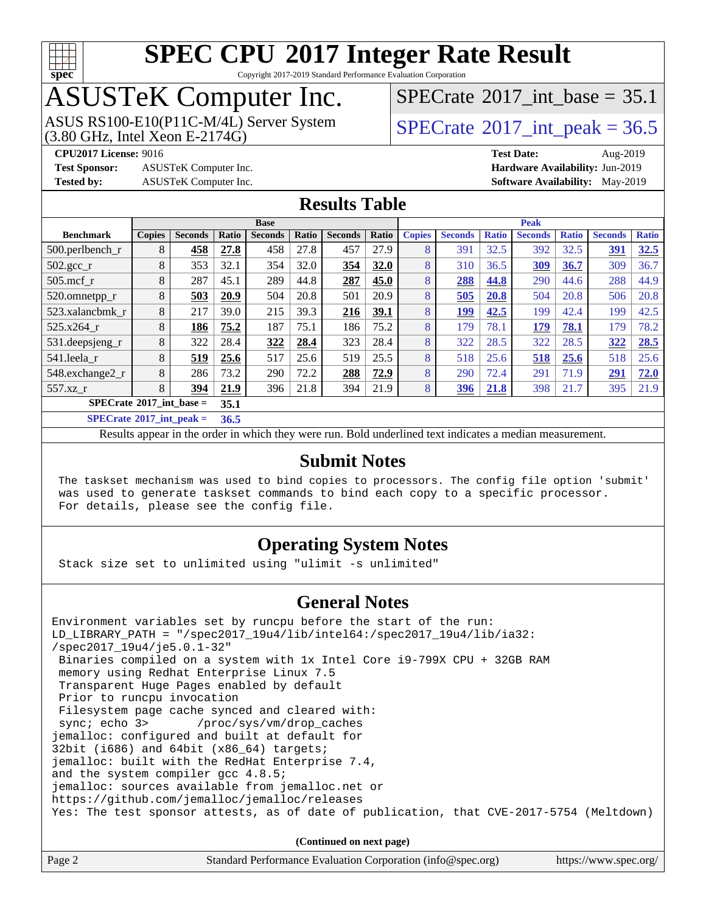

Copyright 2017-2019 Standard Performance Evaluation Corporation

## ASUSTeK Computer Inc.

 $(3.80 \text{ GHz}, \text{Intel Xeon E-2174G})$ ASUS RS100-E10(P11C-M/4L) Server System [SPECrate](http://www.spec.org/auto/cpu2017/Docs/result-fields.html#SPECrate2017intpeak)®2017 int\_peak = 36.5

[SPECrate](http://www.spec.org/auto/cpu2017/Docs/result-fields.html#SPECrate2017intbase)®2017 int\_base =  $35.1$ 

**[Test Sponsor:](http://www.spec.org/auto/cpu2017/Docs/result-fields.html#TestSponsor)** ASUSTeK Computer Inc. **[Hardware Availability:](http://www.spec.org/auto/cpu2017/Docs/result-fields.html#HardwareAvailability)** Jun-2019

**[CPU2017 License:](http://www.spec.org/auto/cpu2017/Docs/result-fields.html#CPU2017License)** 9016 **[Test Date:](http://www.spec.org/auto/cpu2017/Docs/result-fields.html#TestDate)** Aug-2019 **[Tested by:](http://www.spec.org/auto/cpu2017/Docs/result-fields.html#Testedby)** ASUSTeK Computer Inc. **[Software Availability:](http://www.spec.org/auto/cpu2017/Docs/result-fields.html#SoftwareAvailability)** May-2019

### **[Results Table](http://www.spec.org/auto/cpu2017/Docs/result-fields.html#ResultsTable)**

|                                           | <b>Base</b>   |                |               |                |       | <b>Peak</b>    |       |               |                |              |                |              |                |              |
|-------------------------------------------|---------------|----------------|---------------|----------------|-------|----------------|-------|---------------|----------------|--------------|----------------|--------------|----------------|--------------|
| <b>Benchmark</b>                          | <b>Copies</b> | <b>Seconds</b> | Ratio         | <b>Seconds</b> | Ratio | <b>Seconds</b> | Ratio | <b>Copies</b> | <b>Seconds</b> | <b>Ratio</b> | <b>Seconds</b> | <b>Ratio</b> | <b>Seconds</b> | <b>Ratio</b> |
| $500.$ perlbench_r                        | 8             | 458            | 27.8          | 458            | 27.8  | 457            | 27.9  | 8             | 391            | 32.5         | 392            | 32.5         | 391            | 32.5         |
| $502.\text{gcc}$ _r                       | 8             | 353            | 32.1          | 354            | 32.0  | 354            | 32.0  | 8             | 310            | 36.5         | 309            | 36.7         | 309            | 36.7         |
| $505$ .mcf r                              | 8             | 287            | 45.1          | 289            | 44.8  | 287            | 45.0  | 8             | 288            | 44.8         | 290            | 44.6         | 288            | 44.9         |
| 520.omnetpp_r                             | 8             | 503            | 20.9          | 504            | 20.8  | 501            | 20.9  | 8             | 505            | 20.8         | 504            | 20.8         | 506            | 20.8         |
| 523.xalanchmk r                           | 8             | 217            | 39.0          | 215            | 39.3  | 216            | 39.1  | 8             | 199            | 42.5         | 199            | 42.4         | 199            | 42.5         |
| 525.x264 r                                | 8             | 186            | 75.2          | 187            | 75.1  | 186            | 75.2  | 8             | 179            | 78.1         | 179            | 78.1         | 179            | 78.2         |
| 531.deepsjeng_r                           | 8             | 322            | 28.4          | 322            | 28.4  | 323            | 28.4  | 8             | 322            | 28.5         | 322            | 28.5         | 322            | 28.5         |
| 541.leela r                               | 8             | 519            | 25.6          | 517            | 25.6  | 519            | 25.5  | 8             | 518            | 25.6         | 518            | 25.6         | 518            | 25.6         |
| 548.exchange2_r                           | 8             | 286            | 73.2          | 290            | 72.2  | 288            | 72.9  | 8             | 290            | 72.4         | 291            | 71.9         | 291            | 72.0         |
| 557.xz r                                  | 8             | 394            | 21.9          | 396            | 21.8  | 394            | 21.9  | 8             | 396            | 21.8         | 398            | 21.7         | 395            | 21.9         |
| $SPECrate^{\circ}2017$ int base =         | 35.1          |                |               |                |       |                |       |               |                |              |                |              |                |              |
| $CDDC_{\text{max}}$ $4.00047$ $1.4$ $1.1$ |               |                | $\sim$ $\sim$ |                |       |                |       |               |                |              |                |              |                |              |

**[SPECrate](http://www.spec.org/auto/cpu2017/Docs/result-fields.html#SPECrate2017intpeak)[2017\\_int\\_peak =](http://www.spec.org/auto/cpu2017/Docs/result-fields.html#SPECrate2017intpeak) 36.5**

Results appear in the [order in which they were run](http://www.spec.org/auto/cpu2017/Docs/result-fields.html#RunOrder). Bold underlined text [indicates a median measurement](http://www.spec.org/auto/cpu2017/Docs/result-fields.html#Median).

### **[Submit Notes](http://www.spec.org/auto/cpu2017/Docs/result-fields.html#SubmitNotes)**

 The taskset mechanism was used to bind copies to processors. The config file option 'submit' was used to generate taskset commands to bind each copy to a specific processor. For details, please see the config file.

### **[Operating System Notes](http://www.spec.org/auto/cpu2017/Docs/result-fields.html#OperatingSystemNotes)**

Stack size set to unlimited using "ulimit -s unlimited"

### **[General Notes](http://www.spec.org/auto/cpu2017/Docs/result-fields.html#GeneralNotes)**

Environment variables set by runcpu before the start of the run: LD\_LIBRARY\_PATH = "/spec2017\_19u4/lib/intel64:/spec2017\_19u4/lib/ia32: /spec2017\_19u4/je5.0.1-32" Binaries compiled on a system with 1x Intel Core i9-799X CPU + 32GB RAM memory using Redhat Enterprise Linux 7.5 Transparent Huge Pages enabled by default Prior to runcpu invocation Filesystem page cache synced and cleared with: sync; echo 3> /proc/sys/vm/drop\_caches jemalloc: configured and built at default for 32bit (i686) and 64bit (x86\_64) targets; jemalloc: built with the RedHat Enterprise 7.4, and the system compiler gcc 4.8.5; jemalloc: sources available from jemalloc.net or <https://github.com/jemalloc/jemalloc/releases> Yes: The test sponsor attests, as of date of publication, that CVE-2017-5754 (Meltdown)

**(Continued on next page)**

| Page 2<br>Standard Performance Evaluation Corporation (info@spec.org) | https://www.spec.org/ |
|-----------------------------------------------------------------------|-----------------------|
|-----------------------------------------------------------------------|-----------------------|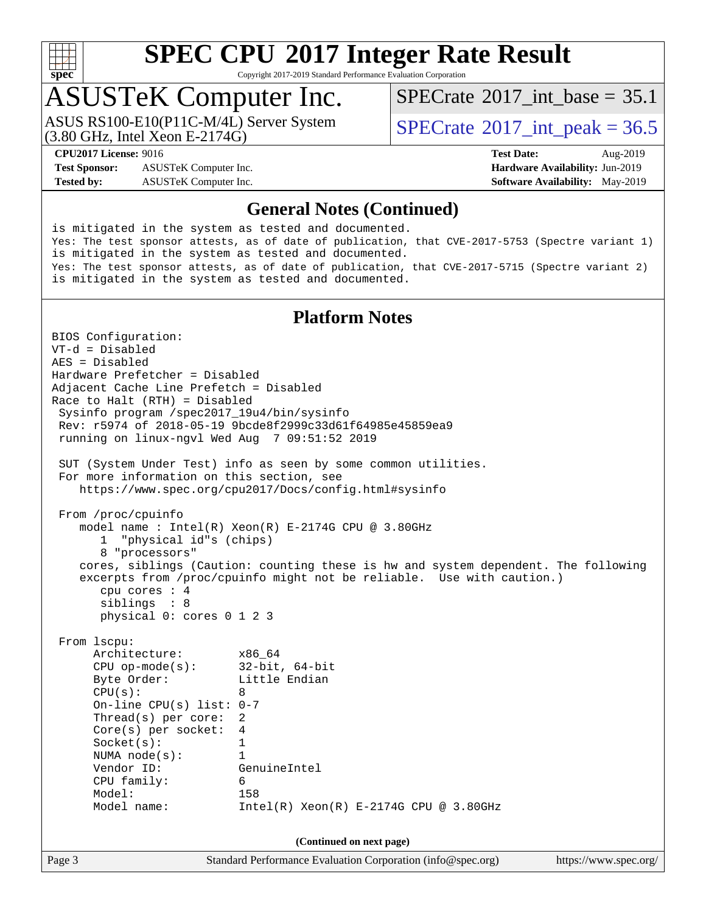

Copyright 2017-2019 Standard Performance Evaluation Corporation

### ASUSTeK Computer Inc.

ASUS RS100-E10(P11C-M/4L) Server System<br>(3.80 GHz, Intel Xeon E-2174G)

[SPECrate](http://www.spec.org/auto/cpu2017/Docs/result-fields.html#SPECrate2017intbase)®2017 int\_base =  $35.1$ 

 $SPECTate^{\circ}2017$  int peak = 36.5

**[Test Sponsor:](http://www.spec.org/auto/cpu2017/Docs/result-fields.html#TestSponsor)** ASUSTeK Computer Inc. **[Hardware Availability:](http://www.spec.org/auto/cpu2017/Docs/result-fields.html#HardwareAvailability)** Jun-2019 **[Tested by:](http://www.spec.org/auto/cpu2017/Docs/result-fields.html#Testedby)** ASUSTeK Computer Inc. **[Software Availability:](http://www.spec.org/auto/cpu2017/Docs/result-fields.html#SoftwareAvailability)** May-2019

**[CPU2017 License:](http://www.spec.org/auto/cpu2017/Docs/result-fields.html#CPU2017License)** 9016 **[Test Date:](http://www.spec.org/auto/cpu2017/Docs/result-fields.html#TestDate)** Aug-2019

#### **[General Notes \(Continued\)](http://www.spec.org/auto/cpu2017/Docs/result-fields.html#GeneralNotes)**

is mitigated in the system as tested and documented. Yes: The test sponsor attests, as of date of publication, that CVE-2017-5753 (Spectre variant 1) is mitigated in the system as tested and documented. Yes: The test sponsor attests, as of date of publication, that CVE-2017-5715 (Spectre variant 2) is mitigated in the system as tested and documented.

### **[Platform Notes](http://www.spec.org/auto/cpu2017/Docs/result-fields.html#PlatformNotes)**

Page 3 Standard Performance Evaluation Corporation [\(info@spec.org\)](mailto:info@spec.org) <https://www.spec.org/> BIOS Configuration: VT-d = Disabled AES = Disabled Hardware Prefetcher = Disabled Adjacent Cache Line Prefetch = Disabled Race to Halt (RTH) = Disabled Sysinfo program /spec2017\_19u4/bin/sysinfo Rev: r5974 of 2018-05-19 9bcde8f2999c33d61f64985e45859ea9 running on linux-ngvl Wed Aug 7 09:51:52 2019 SUT (System Under Test) info as seen by some common utilities. For more information on this section, see <https://www.spec.org/cpu2017/Docs/config.html#sysinfo> From /proc/cpuinfo model name : Intel(R) Xeon(R) E-2174G CPU @ 3.80GHz 1 "physical id"s (chips) 8 "processors" cores, siblings (Caution: counting these is hw and system dependent. The following excerpts from /proc/cpuinfo might not be reliable. Use with caution.) cpu cores : 4 siblings : 8 physical 0: cores 0 1 2 3 From lscpu: Architecture: x86\_64 CPU op-mode(s): 32-bit, 64-bit Byte Order: Little Endian  $CPU(s):$  8 On-line CPU(s) list: 0-7 Thread(s) per core: 2 Core(s) per socket: 4 Socket(s): 1 NUMA node(s): 1 Vendor ID: GenuineIntel CPU family: 6 Model: 158 Model name: Intel(R) Xeon(R) E-2174G CPU @ 3.80GHz **(Continued on next page)**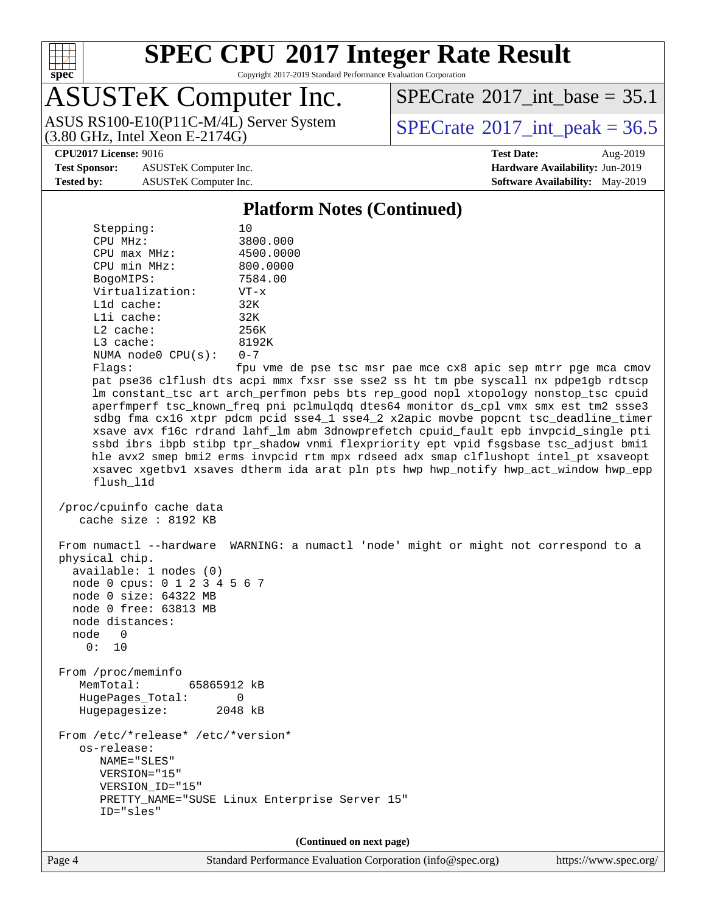

Copyright 2017-2019 Standard Performance Evaluation Corporation

## ASUSTeK Computer Inc.

(3.80 GHz, Intel Xeon E-2174G) ASUS RS100-E10(P11C-M/4L) Server System  $SPECrate^{\circ}2017$  $SPECrate^{\circ}2017$  int peak = 36.5

[SPECrate](http://www.spec.org/auto/cpu2017/Docs/result-fields.html#SPECrate2017intbase)®2017 int\_base =  $35.1$ 

**[Test Sponsor:](http://www.spec.org/auto/cpu2017/Docs/result-fields.html#TestSponsor)** ASUSTeK Computer Inc. **[Hardware Availability:](http://www.spec.org/auto/cpu2017/Docs/result-fields.html#HardwareAvailability)** Jun-2019 **[Tested by:](http://www.spec.org/auto/cpu2017/Docs/result-fields.html#Testedby)** ASUSTeK Computer Inc. **[Software Availability:](http://www.spec.org/auto/cpu2017/Docs/result-fields.html#SoftwareAvailability)** May-2019

**[CPU2017 License:](http://www.spec.org/auto/cpu2017/Docs/result-fields.html#CPU2017License)** 9016 **[Test Date:](http://www.spec.org/auto/cpu2017/Docs/result-fields.html#TestDate)** Aug-2019

#### **[Platform Notes \(Continued\)](http://www.spec.org/auto/cpu2017/Docs/result-fields.html#PlatformNotes)**

Stepping: 10 CPU MHz: 3800.000 CPU max MHz: 4500.0000 CPU min MHz: 800.0000 BogoMIPS: 7584.00 Virtualization: VT-x L1d cache: 32K L1i cache: 32K L2 cache: 256K L3 cache: 8192K NUMA node0 CPU(s): 0-7 Flags: fpu vme de pse tsc msr pae mce cx8 apic sep mtrr pge mca cmov pat pse36 clflush dts acpi mmx fxsr sse sse2 ss ht tm pbe syscall nx pdpe1gb rdtscp lm constant\_tsc art arch\_perfmon pebs bts rep\_good nopl xtopology nonstop\_tsc cpuid aperfmperf tsc\_known\_freq pni pclmulqdq dtes64 monitor ds\_cpl vmx smx est tm2 ssse3 sdbg fma cx16 xtpr pdcm pcid sse4\_1 sse4\_2 x2apic movbe popcnt tsc\_deadline\_timer xsave avx f16c rdrand lahf\_lm abm 3dnowprefetch cpuid\_fault epb invpcid\_single pti ssbd ibrs ibpb stibp tpr\_shadow vnmi flexpriority ept vpid fsgsbase tsc\_adjust bmi1 hle avx2 smep bmi2 erms invpcid rtm mpx rdseed adx smap clflushopt intel\_pt xsaveopt xsavec xgetbv1 xsaves dtherm ida arat pln pts hwp hwp\_notify hwp\_act\_window hwp\_epp flush\_l1d /proc/cpuinfo cache data cache size : 8192 KB From numactl --hardware WARNING: a numactl 'node' might or might not correspond to a physical chip. available: 1 nodes (0) node 0 cpus: 0 1 2 3 4 5 6 7 node 0 size: 64322 MB node 0 free: 63813 MB node distances: node 0 0: 10 From /proc/meminfo MemTotal: 65865912 kB HugePages\_Total: 0 Hugepagesize: 2048 kB From /etc/\*release\* /etc/\*version\* os-release: NAME="SLES" VERSION="15" VERSION\_ID="15" PRETTY\_NAME="SUSE Linux Enterprise Server 15" ID="sles" **(Continued on next page)**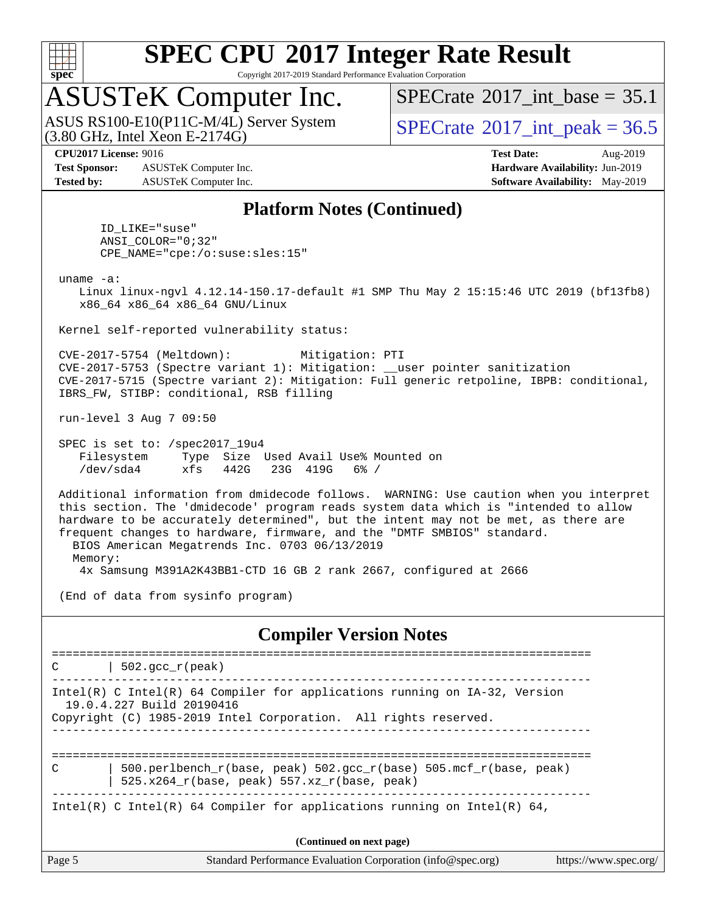

Copyright 2017-2019 Standard Performance Evaluation Corporation

### ASUSTeK Computer Inc.

 $(3.80 \text{ GHz}, \text{Intel Xeon E-2174G})$ ASUS RS100-E10(P11C-M/4L) Server System [SPECrate](http://www.spec.org/auto/cpu2017/Docs/result-fields.html#SPECrate2017intpeak)®2017 int\_peak = 36.5

[SPECrate](http://www.spec.org/auto/cpu2017/Docs/result-fields.html#SPECrate2017intbase)®2017 int\_base =  $35.1$ 

**[Test Sponsor:](http://www.spec.org/auto/cpu2017/Docs/result-fields.html#TestSponsor)** ASUSTeK Computer Inc. **[Hardware Availability:](http://www.spec.org/auto/cpu2017/Docs/result-fields.html#HardwareAvailability)** Jun-2019 **[Tested by:](http://www.spec.org/auto/cpu2017/Docs/result-fields.html#Testedby)** ASUSTeK Computer Inc. **[Software Availability:](http://www.spec.org/auto/cpu2017/Docs/result-fields.html#SoftwareAvailability)** May-2019

**[CPU2017 License:](http://www.spec.org/auto/cpu2017/Docs/result-fields.html#CPU2017License)** 9016 **[Test Date:](http://www.spec.org/auto/cpu2017/Docs/result-fields.html#TestDate)** Aug-2019

#### **[Platform Notes \(Continued\)](http://www.spec.org/auto/cpu2017/Docs/result-fields.html#PlatformNotes)**

 ID\_LIKE="suse" ANSI\_COLOR="0;32" CPE\_NAME="cpe:/o:suse:sles:15"

uname -a:

 Linux linux-ngvl 4.12.14-150.17-default #1 SMP Thu May 2 15:15:46 UTC 2019 (bf13fb8) x86\_64 x86\_64 x86\_64 GNU/Linux

Kernel self-reported vulnerability status:

 CVE-2017-5754 (Meltdown): Mitigation: PTI CVE-2017-5753 (Spectre variant 1): Mitigation: \_\_user pointer sanitization CVE-2017-5715 (Spectre variant 2): Mitigation: Full generic retpoline, IBPB: conditional, IBRS\_FW, STIBP: conditional, RSB filling

run-level 3 Aug 7 09:50

 SPEC is set to: /spec2017\_19u4 Filesystem Type Size Used Avail Use% Mounted on /dev/sda4 xfs 442G 23G 419G 6% /

 Additional information from dmidecode follows. WARNING: Use caution when you interpret this section. The 'dmidecode' program reads system data which is "intended to allow hardware to be accurately determined", but the intent may not be met, as there are frequent changes to hardware, firmware, and the "DMTF SMBIOS" standard. BIOS American Megatrends Inc. 0703 06/13/2019 Memory:

4x Samsung M391A2K43BB1-CTD 16 GB 2 rank 2667, configured at 2666

(End of data from sysinfo program)

#### **[Compiler Version Notes](http://www.spec.org/auto/cpu2017/Docs/result-fields.html#CompilerVersionNotes)**

Page 5 Standard Performance Evaluation Corporation [\(info@spec.org\)](mailto:info@spec.org) <https://www.spec.org/> ==============================================================================  $C$  | 502.gcc\_r(peak) ------------------------------------------------------------------------------ Intel(R) C Intel(R) 64 Compiler for applications running on IA-32, Version 19.0.4.227 Build 20190416 Copyright (C) 1985-2019 Intel Corporation. All rights reserved. ------------------------------------------------------------------------------ ============================================================================== C | 500.perlbench\_r(base, peak) 502.gcc\_r(base) 505.mcf\_r(base, peak) | 525.x264 $r(base, peak)$  557.xz $r(base, peak)$ ------------------------------------------------------------------------------ Intel(R) C Intel(R) 64 Compiler for applications running on Intel(R)  $64$ , **(Continued on next page)**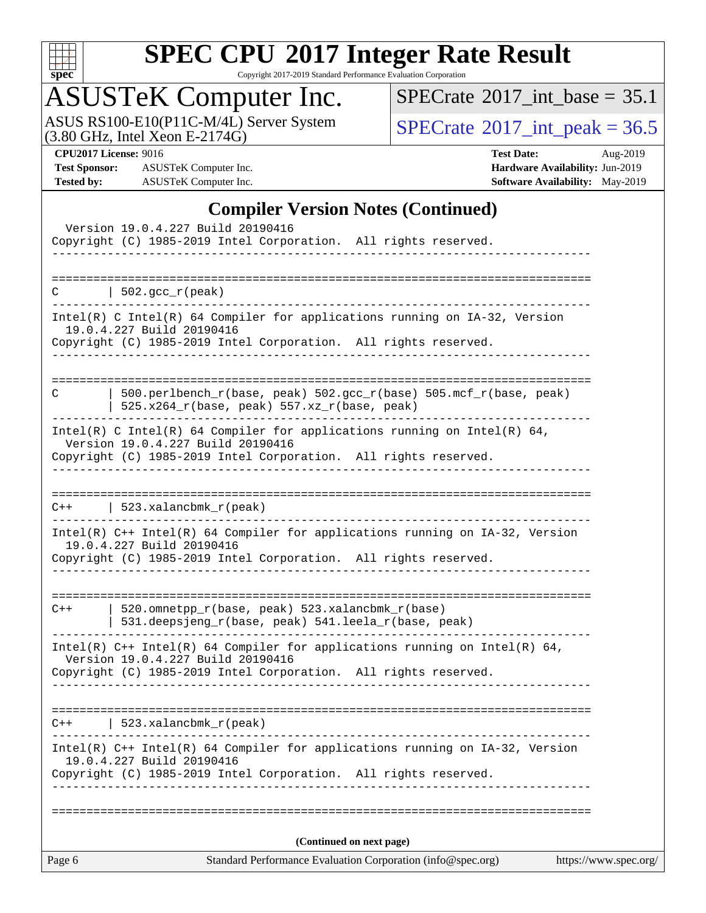

Copyright 2017-2019 Standard Performance Evaluation Corporation

## ASUSTeK Computer Inc.

ASUS RS100-E10(P11C-M/4L) Server System  $(3.80 \text{ GHz}, \text{ Intel Xeon E-2174G})$   $\big| \text{SPECrate} \textcircled{2017\_int\_peak} = 36.5$  $\big| \text{SPECrate} \textcircled{2017\_int\_peak} = 36.5$  $\big| \text{SPECrate} \textcircled{2017\_int\_peak} = 36.5$ 

 $SPECTate$ <sup>®</sup>[2017\\_int\\_base =](http://www.spec.org/auto/cpu2017/Docs/result-fields.html#SPECrate2017intbase) 35.1

**[Test Sponsor:](http://www.spec.org/auto/cpu2017/Docs/result-fields.html#TestSponsor)** ASUSTeK Computer Inc. **[Hardware Availability:](http://www.spec.org/auto/cpu2017/Docs/result-fields.html#HardwareAvailability)** Jun-2019 **[Tested by:](http://www.spec.org/auto/cpu2017/Docs/result-fields.html#Testedby)** ASUSTeK Computer Inc. **[Software Availability:](http://www.spec.org/auto/cpu2017/Docs/result-fields.html#SoftwareAvailability)** May-2019

**[CPU2017 License:](http://www.spec.org/auto/cpu2017/Docs/result-fields.html#CPU2017License)** 9016 **[Test Date:](http://www.spec.org/auto/cpu2017/Docs/result-fields.html#TestDate)** Aug-2019

### **[Compiler Version Notes \(Continued\)](http://www.spec.org/auto/cpu2017/Docs/result-fields.html#CompilerVersionNotes)**

|        | Version 19.0.4.227 Build 20190416<br>Copyright (C) 1985-2019 Intel Corporation. All rights reserved.             |                       |
|--------|------------------------------------------------------------------------------------------------------------------|-----------------------|
|        |                                                                                                                  |                       |
| C.     | $502.\text{gcc}_r(\text{peak})$                                                                                  |                       |
|        | Intel(R) C Intel(R) 64 Compiler for applications running on IA-32, Version                                       |                       |
|        | 19.0.4.227 Build 20190416<br>Copyright (C) 1985-2019 Intel Corporation. All rights reserved.                     |                       |
|        |                                                                                                                  |                       |
| C      | 500.perlbench_r(base, peak) 502.gcc_r(base) 505.mcf_r(base, peak)<br>525.x264_r(base, peak) 557.xz_r(base, peak) |                       |
|        | Intel(R) C Intel(R) 64 Compiler for applications running on Intel(R) 64,<br>Version 19.0.4.227 Build 20190416    |                       |
|        | Copyright (C) 1985-2019 Intel Corporation. All rights reserved.                                                  |                       |
|        |                                                                                                                  |                       |
| $C++$  | $523.xalanchm k_r (peak)$                                                                                        |                       |
|        | Intel(R) C++ Intel(R) 64 Compiler for applications running on IA-32, Version<br>19.0.4.227 Build 20190416        |                       |
|        | Copyright (C) 1985-2019 Intel Corporation. All rights reserved.                                                  |                       |
| $C++$  | 520.omnetpp_r(base, peak) 523.xalancbmk_r(base)                                                                  |                       |
|        | 531.deepsjeng_r(base, peak) 541.leela_r(base, peak)                                                              |                       |
|        | Intel(R) C++ Intel(R) 64 Compiler for applications running on Intel(R) 64,<br>Version 19.0.4.227 Build 20190416  |                       |
|        | Copyright (C) 1985-2019 Intel Corporation. All rights reserved.                                                  |                       |
|        |                                                                                                                  |                       |
| $C++$  | 523.xalancbmk $r(\text{peak})$                                                                                   |                       |
|        | Intel(R) C++ Intel(R) 64 Compiler for applications running on IA-32, Version<br>19.0.4.227 Build 20190416        |                       |
|        | Copyright (C) 1985-2019 Intel Corporation. All rights reserved.                                                  |                       |
|        |                                                                                                                  |                       |
| Page 6 | (Continued on next page)<br>Standard Performance Evaluation Corporation (info@spec.org)                          | https://www.spec.org/ |
|        |                                                                                                                  |                       |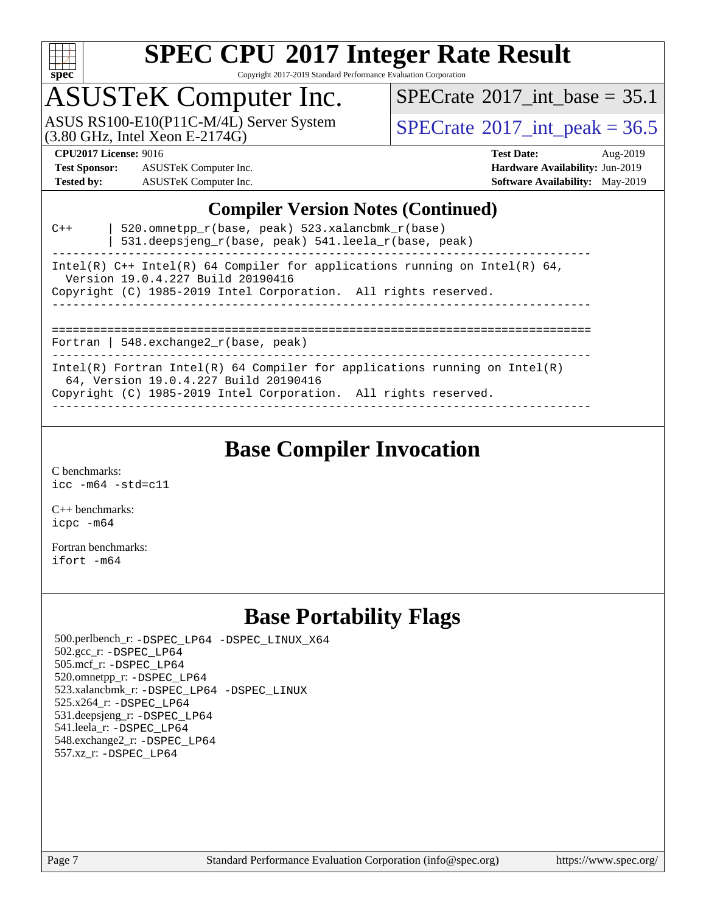

Copyright 2017-2019 Standard Performance Evaluation Corporation

### ASUSTeK Computer Inc.

ASUS RS100-E10(P11C-M/4L) Server System  $(3.80 \text{ GHz}, \text{ Intel Xeon E-2174G})$   $\big| \text{SPECrate} \textcircled{2017\_int\_peak} = 36.5$  $\big| \text{SPECrate} \textcircled{2017\_int\_peak} = 36.5$  $\big| \text{SPECrate} \textcircled{2017\_int\_peak} = 36.5$ 

[SPECrate](http://www.spec.org/auto/cpu2017/Docs/result-fields.html#SPECrate2017intbase)<sup>®</sup>2017 int\_base =  $35.1$ 

**[Test Sponsor:](http://www.spec.org/auto/cpu2017/Docs/result-fields.html#TestSponsor)** ASUSTeK Computer Inc. **[Hardware Availability:](http://www.spec.org/auto/cpu2017/Docs/result-fields.html#HardwareAvailability)** Jun-2019 **[Tested by:](http://www.spec.org/auto/cpu2017/Docs/result-fields.html#Testedby)** ASUSTeK Computer Inc. **[Software Availability:](http://www.spec.org/auto/cpu2017/Docs/result-fields.html#SoftwareAvailability)** May-2019

**[CPU2017 License:](http://www.spec.org/auto/cpu2017/Docs/result-fields.html#CPU2017License)** 9016 **[Test Date:](http://www.spec.org/auto/cpu2017/Docs/result-fields.html#TestDate)** Aug-2019

#### **[Compiler Version Notes \(Continued\)](http://www.spec.org/auto/cpu2017/Docs/result-fields.html#CompilerVersionNotes)**

| $C++$ | 520.omnetpp_r(base, peak) 523.xalancbmk_r(base)<br>531.deepsjeng_r(base, peak) 541.leela_r(base, peak)                                                                                 |
|-------|----------------------------------------------------------------------------------------------------------------------------------------------------------------------------------------|
|       | Intel(R) C++ Intel(R) 64 Compiler for applications running on Intel(R) 64,<br>Version 19.0.4.227 Build 20190416                                                                        |
|       | Copyright (C) 1985-2019 Intel Corporation. All rights reserved.                                                                                                                        |
|       | Fortran   548. $exchange2 r(base, peak)$                                                                                                                                               |
|       | Intel(R) Fortran Intel(R) 64 Compiler for applications running on Intel(R)<br>64, Version 19.0.4.227 Build 20190416<br>Copyright (C) 1985-2019 Intel Corporation. All rights reserved. |

------------------------------------------------------------------------------

### **[Base Compiler Invocation](http://www.spec.org/auto/cpu2017/Docs/result-fields.html#BaseCompilerInvocation)**

[C benchmarks](http://www.spec.org/auto/cpu2017/Docs/result-fields.html#Cbenchmarks): [icc -m64 -std=c11](http://www.spec.org/cpu2017/results/res2019q3/cpu2017-20190826-17259.flags.html#user_CCbase_intel_icc_64bit_c11_33ee0cdaae7deeeab2a9725423ba97205ce30f63b9926c2519791662299b76a0318f32ddfffdc46587804de3178b4f9328c46fa7c2b0cd779d7a61945c91cd35)

[C++ benchmarks:](http://www.spec.org/auto/cpu2017/Docs/result-fields.html#CXXbenchmarks) [icpc -m64](http://www.spec.org/cpu2017/results/res2019q3/cpu2017-20190826-17259.flags.html#user_CXXbase_intel_icpc_64bit_4ecb2543ae3f1412ef961e0650ca070fec7b7afdcd6ed48761b84423119d1bf6bdf5cad15b44d48e7256388bc77273b966e5eb805aefd121eb22e9299b2ec9d9)

[Fortran benchmarks](http://www.spec.org/auto/cpu2017/Docs/result-fields.html#Fortranbenchmarks): [ifort -m64](http://www.spec.org/cpu2017/results/res2019q3/cpu2017-20190826-17259.flags.html#user_FCbase_intel_ifort_64bit_24f2bb282fbaeffd6157abe4f878425411749daecae9a33200eee2bee2fe76f3b89351d69a8130dd5949958ce389cf37ff59a95e7a40d588e8d3a57e0c3fd751)

### **[Base Portability Flags](http://www.spec.org/auto/cpu2017/Docs/result-fields.html#BasePortabilityFlags)**

 500.perlbench\_r: [-DSPEC\\_LP64](http://www.spec.org/cpu2017/results/res2019q3/cpu2017-20190826-17259.flags.html#b500.perlbench_r_basePORTABILITY_DSPEC_LP64) [-DSPEC\\_LINUX\\_X64](http://www.spec.org/cpu2017/results/res2019q3/cpu2017-20190826-17259.flags.html#b500.perlbench_r_baseCPORTABILITY_DSPEC_LINUX_X64) 502.gcc\_r: [-DSPEC\\_LP64](http://www.spec.org/cpu2017/results/res2019q3/cpu2017-20190826-17259.flags.html#suite_basePORTABILITY502_gcc_r_DSPEC_LP64) 505.mcf\_r: [-DSPEC\\_LP64](http://www.spec.org/cpu2017/results/res2019q3/cpu2017-20190826-17259.flags.html#suite_basePORTABILITY505_mcf_r_DSPEC_LP64) 520.omnetpp\_r: [-DSPEC\\_LP64](http://www.spec.org/cpu2017/results/res2019q3/cpu2017-20190826-17259.flags.html#suite_basePORTABILITY520_omnetpp_r_DSPEC_LP64) 523.xalancbmk\_r: [-DSPEC\\_LP64](http://www.spec.org/cpu2017/results/res2019q3/cpu2017-20190826-17259.flags.html#suite_basePORTABILITY523_xalancbmk_r_DSPEC_LP64) [-DSPEC\\_LINUX](http://www.spec.org/cpu2017/results/res2019q3/cpu2017-20190826-17259.flags.html#b523.xalancbmk_r_baseCXXPORTABILITY_DSPEC_LINUX) 525.x264\_r: [-DSPEC\\_LP64](http://www.spec.org/cpu2017/results/res2019q3/cpu2017-20190826-17259.flags.html#suite_basePORTABILITY525_x264_r_DSPEC_LP64) 531.deepsjeng\_r: [-DSPEC\\_LP64](http://www.spec.org/cpu2017/results/res2019q3/cpu2017-20190826-17259.flags.html#suite_basePORTABILITY531_deepsjeng_r_DSPEC_LP64) 541.leela\_r: [-DSPEC\\_LP64](http://www.spec.org/cpu2017/results/res2019q3/cpu2017-20190826-17259.flags.html#suite_basePORTABILITY541_leela_r_DSPEC_LP64) 548.exchange2\_r: [-DSPEC\\_LP64](http://www.spec.org/cpu2017/results/res2019q3/cpu2017-20190826-17259.flags.html#suite_basePORTABILITY548_exchange2_r_DSPEC_LP64) 557.xz\_r: [-DSPEC\\_LP64](http://www.spec.org/cpu2017/results/res2019q3/cpu2017-20190826-17259.flags.html#suite_basePORTABILITY557_xz_r_DSPEC_LP64)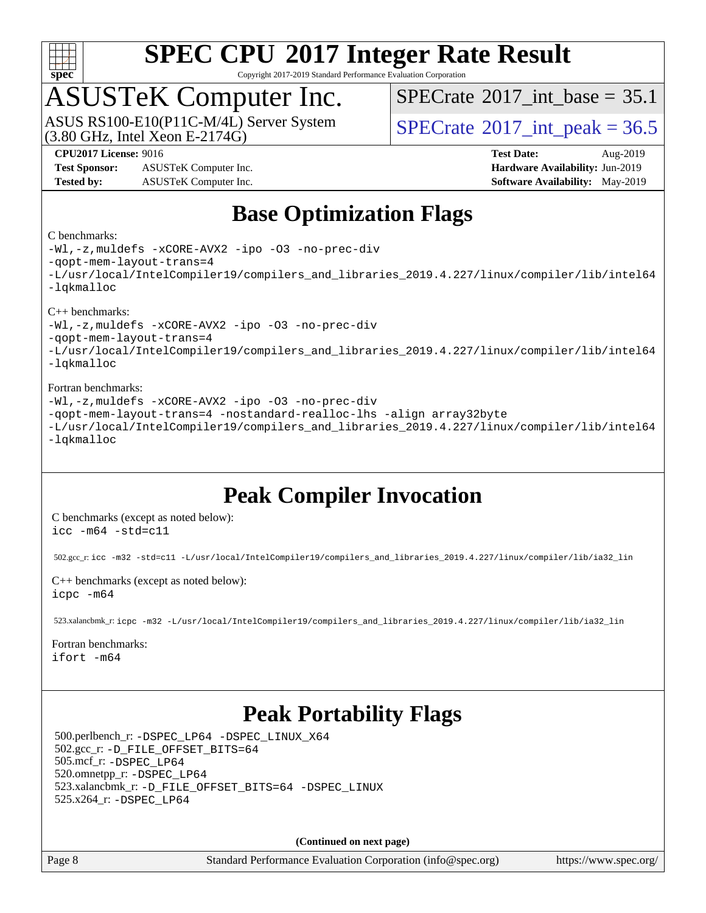

Copyright 2017-2019 Standard Performance Evaluation Corporation

### ASUSTeK Computer Inc.

 $(3.80 \text{ GHz}, \text{Intel Xeon E-2174G})$ ASUS RS100-E10(P11C-M/4L) Server System [SPECrate](http://www.spec.org/auto/cpu2017/Docs/result-fields.html#SPECrate2017intpeak)®2017 int\_peak = 36.5

[SPECrate](http://www.spec.org/auto/cpu2017/Docs/result-fields.html#SPECrate2017intbase)®2017 int\_base =  $35.1$ 

**[Test Sponsor:](http://www.spec.org/auto/cpu2017/Docs/result-fields.html#TestSponsor)** ASUSTeK Computer Inc. **[Hardware Availability:](http://www.spec.org/auto/cpu2017/Docs/result-fields.html#HardwareAvailability)** Jun-2019 **[Tested by:](http://www.spec.org/auto/cpu2017/Docs/result-fields.html#Testedby)** ASUSTeK Computer Inc. **[Software Availability:](http://www.spec.org/auto/cpu2017/Docs/result-fields.html#SoftwareAvailability)** May-2019

**[CPU2017 License:](http://www.spec.org/auto/cpu2017/Docs/result-fields.html#CPU2017License)** 9016 **[Test Date:](http://www.spec.org/auto/cpu2017/Docs/result-fields.html#TestDate)** Aug-2019

### **[Base Optimization Flags](http://www.spec.org/auto/cpu2017/Docs/result-fields.html#BaseOptimizationFlags)**

#### [C benchmarks](http://www.spec.org/auto/cpu2017/Docs/result-fields.html#Cbenchmarks):

[-Wl,-z,muldefs](http://www.spec.org/cpu2017/results/res2019q3/cpu2017-20190826-17259.flags.html#user_CCbase_link_force_multiple1_b4cbdb97b34bdee9ceefcfe54f4c8ea74255f0b02a4b23e853cdb0e18eb4525ac79b5a88067c842dd0ee6996c24547a27a4b99331201badda8798ef8a743f577) [-xCORE-AVX2](http://www.spec.org/cpu2017/results/res2019q3/cpu2017-20190826-17259.flags.html#user_CCbase_f-xCORE-AVX2) [-ipo](http://www.spec.org/cpu2017/results/res2019q3/cpu2017-20190826-17259.flags.html#user_CCbase_f-ipo) [-O3](http://www.spec.org/cpu2017/results/res2019q3/cpu2017-20190826-17259.flags.html#user_CCbase_f-O3) [-no-prec-div](http://www.spec.org/cpu2017/results/res2019q3/cpu2017-20190826-17259.flags.html#user_CCbase_f-no-prec-div) [-qopt-mem-layout-trans=4](http://www.spec.org/cpu2017/results/res2019q3/cpu2017-20190826-17259.flags.html#user_CCbase_f-qopt-mem-layout-trans_fa39e755916c150a61361b7846f310bcdf6f04e385ef281cadf3647acec3f0ae266d1a1d22d972a7087a248fd4e6ca390a3634700869573d231a252c784941a8) [-L/usr/local/IntelCompiler19/compilers\\_and\\_libraries\\_2019.4.227/linux/compiler/lib/intel64](http://www.spec.org/cpu2017/results/res2019q3/cpu2017-20190826-17259.flags.html#user_CCbase_qkmalloc_link_0ffe0cb02c68ef1b443a077c7888c10c67ca0d1dd7138472156f06a085bbad385f78d49618ad55dca9db3b1608e84afc2f69b4003b1d1ca498a9fc1462ccefda) [-lqkmalloc](http://www.spec.org/cpu2017/results/res2019q3/cpu2017-20190826-17259.flags.html#user_CCbase_qkmalloc_link_lib_79a818439969f771c6bc311cfd333c00fc099dad35c030f5aab9dda831713d2015205805422f83de8875488a2991c0a156aaa600e1f9138f8fc37004abc96dc5)

#### [C++ benchmarks:](http://www.spec.org/auto/cpu2017/Docs/result-fields.html#CXXbenchmarks)

[-Wl,-z,muldefs](http://www.spec.org/cpu2017/results/res2019q3/cpu2017-20190826-17259.flags.html#user_CXXbase_link_force_multiple1_b4cbdb97b34bdee9ceefcfe54f4c8ea74255f0b02a4b23e853cdb0e18eb4525ac79b5a88067c842dd0ee6996c24547a27a4b99331201badda8798ef8a743f577) [-xCORE-AVX2](http://www.spec.org/cpu2017/results/res2019q3/cpu2017-20190826-17259.flags.html#user_CXXbase_f-xCORE-AVX2) [-ipo](http://www.spec.org/cpu2017/results/res2019q3/cpu2017-20190826-17259.flags.html#user_CXXbase_f-ipo) [-O3](http://www.spec.org/cpu2017/results/res2019q3/cpu2017-20190826-17259.flags.html#user_CXXbase_f-O3) [-no-prec-div](http://www.spec.org/cpu2017/results/res2019q3/cpu2017-20190826-17259.flags.html#user_CXXbase_f-no-prec-div)

[-qopt-mem-layout-trans=4](http://www.spec.org/cpu2017/results/res2019q3/cpu2017-20190826-17259.flags.html#user_CXXbase_f-qopt-mem-layout-trans_fa39e755916c150a61361b7846f310bcdf6f04e385ef281cadf3647acec3f0ae266d1a1d22d972a7087a248fd4e6ca390a3634700869573d231a252c784941a8)

[-L/usr/local/IntelCompiler19/compilers\\_and\\_libraries\\_2019.4.227/linux/compiler/lib/intel64](http://www.spec.org/cpu2017/results/res2019q3/cpu2017-20190826-17259.flags.html#user_CXXbase_qkmalloc_link_0ffe0cb02c68ef1b443a077c7888c10c67ca0d1dd7138472156f06a085bbad385f78d49618ad55dca9db3b1608e84afc2f69b4003b1d1ca498a9fc1462ccefda) [-lqkmalloc](http://www.spec.org/cpu2017/results/res2019q3/cpu2017-20190826-17259.flags.html#user_CXXbase_qkmalloc_link_lib_79a818439969f771c6bc311cfd333c00fc099dad35c030f5aab9dda831713d2015205805422f83de8875488a2991c0a156aaa600e1f9138f8fc37004abc96dc5)

#### [Fortran benchmarks](http://www.spec.org/auto/cpu2017/Docs/result-fields.html#Fortranbenchmarks):

[-Wl,-z,muldefs](http://www.spec.org/cpu2017/results/res2019q3/cpu2017-20190826-17259.flags.html#user_FCbase_link_force_multiple1_b4cbdb97b34bdee9ceefcfe54f4c8ea74255f0b02a4b23e853cdb0e18eb4525ac79b5a88067c842dd0ee6996c24547a27a4b99331201badda8798ef8a743f577) [-xCORE-AVX2](http://www.spec.org/cpu2017/results/res2019q3/cpu2017-20190826-17259.flags.html#user_FCbase_f-xCORE-AVX2) [-ipo](http://www.spec.org/cpu2017/results/res2019q3/cpu2017-20190826-17259.flags.html#user_FCbase_f-ipo) [-O3](http://www.spec.org/cpu2017/results/res2019q3/cpu2017-20190826-17259.flags.html#user_FCbase_f-O3) [-no-prec-div](http://www.spec.org/cpu2017/results/res2019q3/cpu2017-20190826-17259.flags.html#user_FCbase_f-no-prec-div) [-qopt-mem-layout-trans=4](http://www.spec.org/cpu2017/results/res2019q3/cpu2017-20190826-17259.flags.html#user_FCbase_f-qopt-mem-layout-trans_fa39e755916c150a61361b7846f310bcdf6f04e385ef281cadf3647acec3f0ae266d1a1d22d972a7087a248fd4e6ca390a3634700869573d231a252c784941a8) [-nostandard-realloc-lhs](http://www.spec.org/cpu2017/results/res2019q3/cpu2017-20190826-17259.flags.html#user_FCbase_f_2003_std_realloc_82b4557e90729c0f113870c07e44d33d6f5a304b4f63d4c15d2d0f1fab99f5daaed73bdb9275d9ae411527f28b936061aa8b9c8f2d63842963b95c9dd6426b8a) [-align array32byte](http://www.spec.org/cpu2017/results/res2019q3/cpu2017-20190826-17259.flags.html#user_FCbase_align_array32byte_b982fe038af199962ba9a80c053b8342c548c85b40b8e86eb3cc33dee0d7986a4af373ac2d51c3f7cf710a18d62fdce2948f201cd044323541f22fc0fffc51b6) [-L/usr/local/IntelCompiler19/compilers\\_and\\_libraries\\_2019.4.227/linux/compiler/lib/intel64](http://www.spec.org/cpu2017/results/res2019q3/cpu2017-20190826-17259.flags.html#user_FCbase_qkmalloc_link_0ffe0cb02c68ef1b443a077c7888c10c67ca0d1dd7138472156f06a085bbad385f78d49618ad55dca9db3b1608e84afc2f69b4003b1d1ca498a9fc1462ccefda) [-lqkmalloc](http://www.spec.org/cpu2017/results/res2019q3/cpu2017-20190826-17259.flags.html#user_FCbase_qkmalloc_link_lib_79a818439969f771c6bc311cfd333c00fc099dad35c030f5aab9dda831713d2015205805422f83de8875488a2991c0a156aaa600e1f9138f8fc37004abc96dc5)

### **[Peak Compiler Invocation](http://www.spec.org/auto/cpu2017/Docs/result-fields.html#PeakCompilerInvocation)**

[C benchmarks \(except as noted below\)](http://www.spec.org/auto/cpu2017/Docs/result-fields.html#Cbenchmarksexceptasnotedbelow): [icc -m64 -std=c11](http://www.spec.org/cpu2017/results/res2019q3/cpu2017-20190826-17259.flags.html#user_CCpeak_intel_icc_64bit_c11_33ee0cdaae7deeeab2a9725423ba97205ce30f63b9926c2519791662299b76a0318f32ddfffdc46587804de3178b4f9328c46fa7c2b0cd779d7a61945c91cd35)

502.gcc\_r: [icc -m32 -std=c11 -L/usr/local/IntelCompiler19/compilers\\_and\\_libraries\\_2019.4.227/linux/compiler/lib/ia32\\_lin](http://www.spec.org/cpu2017/results/res2019q3/cpu2017-20190826-17259.flags.html#user_peakCCLD502_gcc_r_intel_icc_38a193a897536fa645efb1dc6ac2bea2bddbbe56f130e144a606d1b2649003f27c79f8814020c1f9355cbbf0d7ab0d194a7a979ee1e2a95641bbb8cf571aac7b)

[C++ benchmarks \(except as noted below\)](http://www.spec.org/auto/cpu2017/Docs/result-fields.html#CXXbenchmarksexceptasnotedbelow): [icpc -m64](http://www.spec.org/cpu2017/results/res2019q3/cpu2017-20190826-17259.flags.html#user_CXXpeak_intel_icpc_64bit_4ecb2543ae3f1412ef961e0650ca070fec7b7afdcd6ed48761b84423119d1bf6bdf5cad15b44d48e7256388bc77273b966e5eb805aefd121eb22e9299b2ec9d9)

523.xalancbmk\_r: [icpc -m32 -L/usr/local/IntelCompiler19/compilers\\_and\\_libraries\\_2019.4.227/linux/compiler/lib/ia32\\_lin](http://www.spec.org/cpu2017/results/res2019q3/cpu2017-20190826-17259.flags.html#user_peakCXXLD523_xalancbmk_r_intel_icpc_840f965b38320ad10acba6032d6ca4c816e722c432c250f3408feae347068ba449f694544a48cf12cd3bde3495e328e6747ab0f629c2925d3062e2ee144af951)

#### [Fortran benchmarks](http://www.spec.org/auto/cpu2017/Docs/result-fields.html#Fortranbenchmarks):

[ifort -m64](http://www.spec.org/cpu2017/results/res2019q3/cpu2017-20190826-17259.flags.html#user_FCpeak_intel_ifort_64bit_24f2bb282fbaeffd6157abe4f878425411749daecae9a33200eee2bee2fe76f3b89351d69a8130dd5949958ce389cf37ff59a95e7a40d588e8d3a57e0c3fd751)

### **[Peak Portability Flags](http://www.spec.org/auto/cpu2017/Docs/result-fields.html#PeakPortabilityFlags)**

 500.perlbench\_r: [-DSPEC\\_LP64](http://www.spec.org/cpu2017/results/res2019q3/cpu2017-20190826-17259.flags.html#b500.perlbench_r_peakPORTABILITY_DSPEC_LP64) [-DSPEC\\_LINUX\\_X64](http://www.spec.org/cpu2017/results/res2019q3/cpu2017-20190826-17259.flags.html#b500.perlbench_r_peakCPORTABILITY_DSPEC_LINUX_X64) 502.gcc\_r: [-D\\_FILE\\_OFFSET\\_BITS=64](http://www.spec.org/cpu2017/results/res2019q3/cpu2017-20190826-17259.flags.html#user_peakPORTABILITY502_gcc_r_file_offset_bits_64_5ae949a99b284ddf4e95728d47cb0843d81b2eb0e18bdfe74bbf0f61d0b064f4bda2f10ea5eb90e1dcab0e84dbc592acfc5018bc955c18609f94ddb8d550002c) 505.mcf\_r: [-DSPEC\\_LP64](http://www.spec.org/cpu2017/results/res2019q3/cpu2017-20190826-17259.flags.html#suite_peakPORTABILITY505_mcf_r_DSPEC_LP64) 520.omnetpp\_r: [-DSPEC\\_LP64](http://www.spec.org/cpu2017/results/res2019q3/cpu2017-20190826-17259.flags.html#suite_peakPORTABILITY520_omnetpp_r_DSPEC_LP64) 523.xalancbmk\_r: [-D\\_FILE\\_OFFSET\\_BITS=64](http://www.spec.org/cpu2017/results/res2019q3/cpu2017-20190826-17259.flags.html#user_peakPORTABILITY523_xalancbmk_r_file_offset_bits_64_5ae949a99b284ddf4e95728d47cb0843d81b2eb0e18bdfe74bbf0f61d0b064f4bda2f10ea5eb90e1dcab0e84dbc592acfc5018bc955c18609f94ddb8d550002c) [-DSPEC\\_LINUX](http://www.spec.org/cpu2017/results/res2019q3/cpu2017-20190826-17259.flags.html#b523.xalancbmk_r_peakCXXPORTABILITY_DSPEC_LINUX) 525.x264\_r: [-DSPEC\\_LP64](http://www.spec.org/cpu2017/results/res2019q3/cpu2017-20190826-17259.flags.html#suite_peakPORTABILITY525_x264_r_DSPEC_LP64)

**(Continued on next page)**

Page 8 Standard Performance Evaluation Corporation [\(info@spec.org\)](mailto:info@spec.org) <https://www.spec.org/>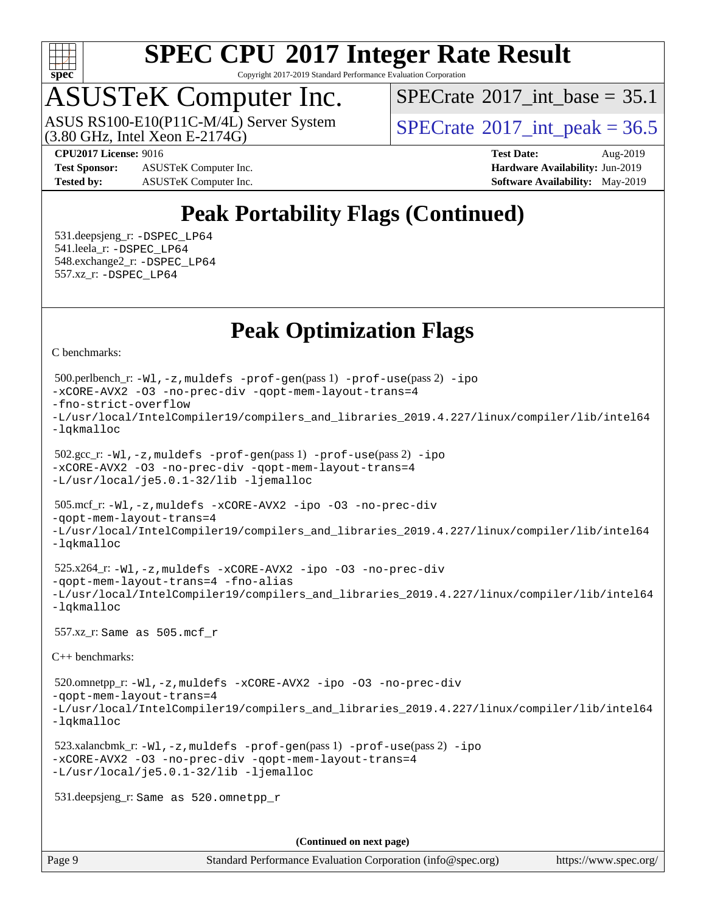

Copyright 2017-2019 Standard Performance Evaluation Corporation

## ASUSTeK Computer Inc.

ASUS RS100-E10(P11C-M/4L) Server System<br>(3.80 GHz, Intel Xeon E-2174G)

[SPECrate](http://www.spec.org/auto/cpu2017/Docs/result-fields.html#SPECrate2017intbase)®2017 int\_base =  $35.1$ 

 $SPECTate^{\circ}2017$  int peak = 36.5

**[Test Sponsor:](http://www.spec.org/auto/cpu2017/Docs/result-fields.html#TestSponsor)** ASUSTeK Computer Inc. **[Hardware Availability:](http://www.spec.org/auto/cpu2017/Docs/result-fields.html#HardwareAvailability)** Jun-2019 **[Tested by:](http://www.spec.org/auto/cpu2017/Docs/result-fields.html#Testedby)** ASUSTeK Computer Inc. **[Software Availability:](http://www.spec.org/auto/cpu2017/Docs/result-fields.html#SoftwareAvailability)** May-2019

**[CPU2017 License:](http://www.spec.org/auto/cpu2017/Docs/result-fields.html#CPU2017License)** 9016 **[Test Date:](http://www.spec.org/auto/cpu2017/Docs/result-fields.html#TestDate)** Aug-2019

### **[Peak Portability Flags \(Continued\)](http://www.spec.org/auto/cpu2017/Docs/result-fields.html#PeakPortabilityFlags)**

 531.deepsjeng\_r: [-DSPEC\\_LP64](http://www.spec.org/cpu2017/results/res2019q3/cpu2017-20190826-17259.flags.html#suite_peakPORTABILITY531_deepsjeng_r_DSPEC_LP64) 541.leela\_r: [-DSPEC\\_LP64](http://www.spec.org/cpu2017/results/res2019q3/cpu2017-20190826-17259.flags.html#suite_peakPORTABILITY541_leela_r_DSPEC_LP64) 548.exchange2\_r: [-DSPEC\\_LP64](http://www.spec.org/cpu2017/results/res2019q3/cpu2017-20190826-17259.flags.html#suite_peakPORTABILITY548_exchange2_r_DSPEC_LP64) 557.xz\_r: [-DSPEC\\_LP64](http://www.spec.org/cpu2017/results/res2019q3/cpu2017-20190826-17259.flags.html#suite_peakPORTABILITY557_xz_r_DSPEC_LP64)

### **[Peak Optimization Flags](http://www.spec.org/auto/cpu2017/Docs/result-fields.html#PeakOptimizationFlags)**

[C benchmarks](http://www.spec.org/auto/cpu2017/Docs/result-fields.html#Cbenchmarks):

```
(info@spec.org)https://www.spec.org/
  500.perlbench_r: -Wl,-z,muldefs -prof-gen(pass 1) -prof-use(pass 2) -ipo
-xCORE-AVX2 -O3 -no-prec-div -qopt-mem-layout-trans=4
-fno-strict-overflow
-L/usr/local/IntelCompiler19/compilers_and_libraries_2019.4.227/linux/compiler/lib/intel64
-lqkmalloc
  502.gcc_r: -Wl,-z,muldefs -prof-gen(pass 1) -prof-use(pass 2) -ipo
-xCORE-AVX2 -O3 -no-prec-div -qopt-mem-layout-trans=4
-L/usr/local/je5.0.1-32/lib -ljemalloc
  505.mcf_r: -Wl,-z,muldefs -xCORE-AVX2 -ipo -O3 -no-prec-div
-qopt-mem-layout-trans=4
-L/usr/local/IntelCompiler19/compilers_and_libraries_2019.4.227/linux/compiler/lib/intel64
-lqkmalloc
  525.x264_r: -Wl,-z,muldefs -xCORE-AVX2 -ipo -O3 -no-prec-div
-qopt-mem-layout-trans=4 -fno-alias
-L/usr/local/IntelCompiler19/compilers_and_libraries_2019.4.227/linux/compiler/lib/intel64
-lqkmalloc
  557.xz_r: Same as 505.mcf_r
C++ benchmarks: 
  520.omnetpp_r: -Wl,-z,muldefs -xCORE-AVX2 -ipo -O3 -no-prec-div
-qopt-mem-layout-trans=4
-L/usr/local/IntelCompiler19/compilers_and_libraries_2019.4.227/linux/compiler/lib/intel64
-lqkmalloc
  523.xalancbmk_r: -Wl,-z,muldefs -prof-gen(pass 1) -prof-use(pass 2) -ipo
-xCORE-AVX2 -O3 -no-prec-div -qopt-mem-layout-trans=4
-L/usr/local/je5.0.1-32/lib -ljemalloc
  531.deepsjeng_r: Same as 520.omnetpp_r
                                     (Continued on next page)
```